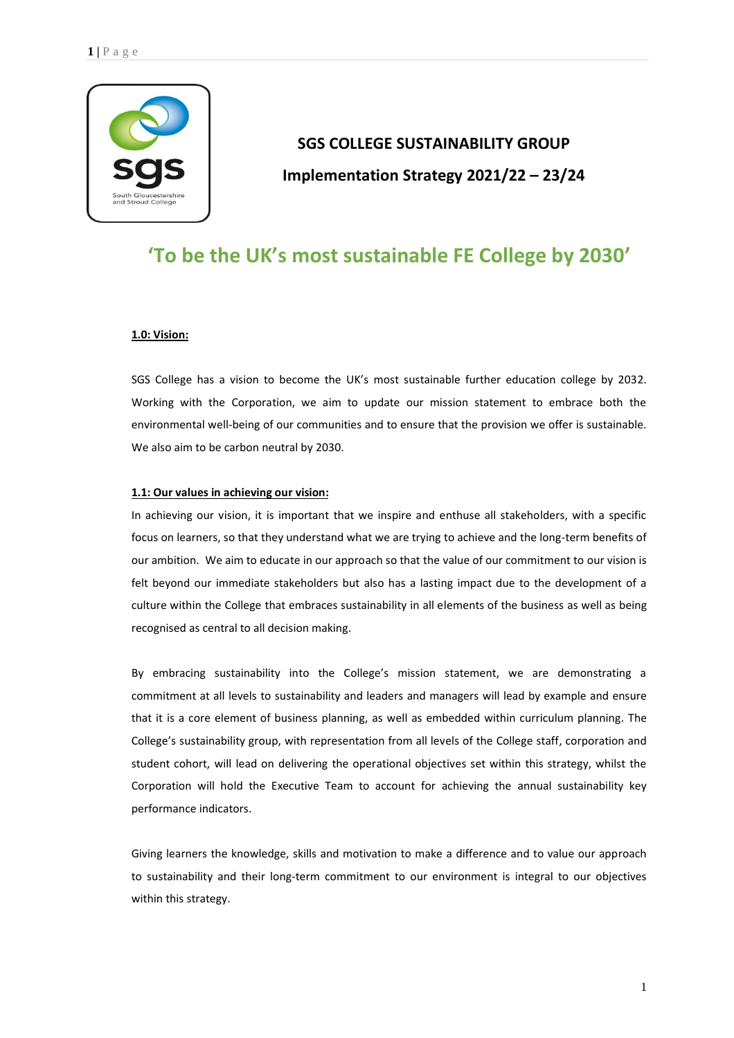

# **SGS COLLEGE SUSTAINABILITY GROUP Implementation Strategy 2021/22 – 23/24**

# **'To be the UK's most sustainable FE College by 2030'**

#### **1.0: Vision:**

SGS College has a vision to become the UK's most sustainable further education college by 2032. Working with the Corporation, we aim to update our mission statement to embrace both the environmental well-being of our communities and to ensure that the provision we offer is sustainable. We also aim to be carbon neutral by 2030.

#### **1.1: Our values in achieving our vision:**

In achieving our vision, it is important that we inspire and enthuse all stakeholders, with a specific focus on learners, so that they understand what we are trying to achieve and the long-term benefits of our ambition. We aim to educate in our approach so that the value of our commitment to our vision is felt beyond our immediate stakeholders but also has a lasting impact due to the development of a culture within the College that embraces sustainability in all elements of the business as well as being recognised as central to all decision making.

By embracing sustainability into the College's mission statement, we are demonstrating a commitment at all levels to sustainability and leaders and managers will lead by example and ensure that it is a core element of business planning, as well as embedded within curriculum planning. The College's sustainability group, with representation from all levels of the College staff, corporation and student cohort, will lead on delivering the operational objectives set within this strategy, whilst the Corporation will hold the Executive Team to account for achieving the annual sustainability key performance indicators.

Giving learners the knowledge, skills and motivation to make a difference and to value our approach to sustainability and their long-term commitment to our environment is integral to our objectives within this strategy.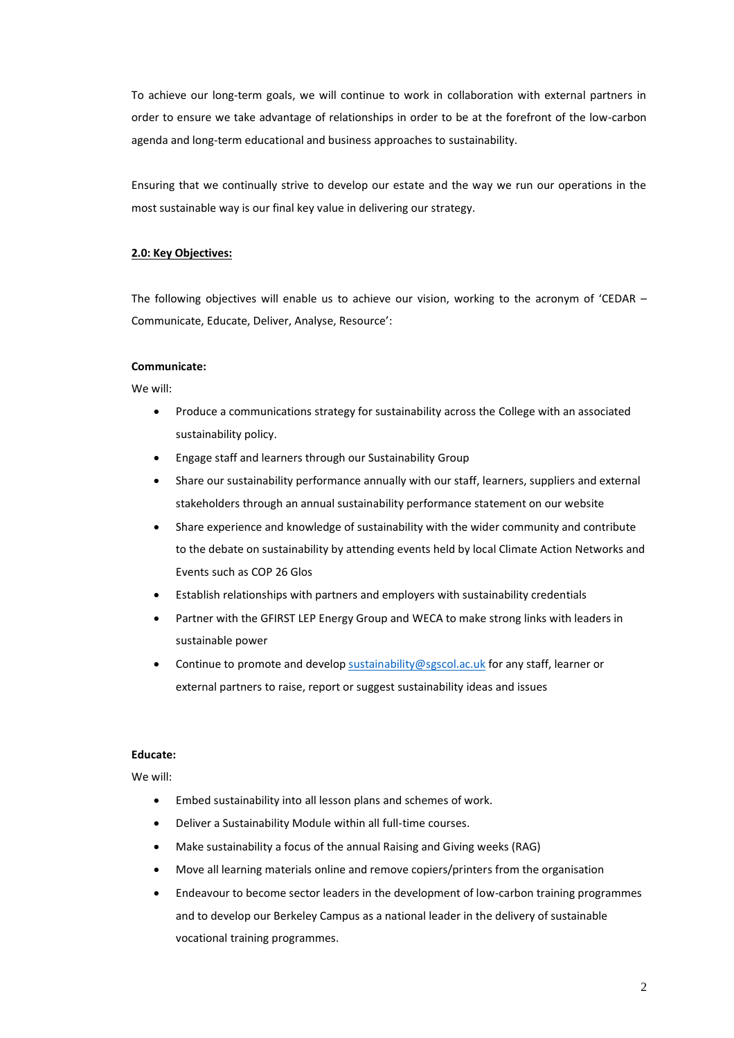To achieve our long-term goals, we will continue to work in collaboration with external partners in order to ensure we take advantage of relationships in order to be at the forefront of the low-carbon agenda and long-term educational and business approaches to sustainability.

Ensuring that we continually strive to develop our estate and the way we run our operations in the most sustainable way is our final key value in delivering our strategy.

### **2.0: Key Objectives:**

The following objectives will enable us to achieve our vision, working to the acronym of 'CEDAR – Communicate, Educate, Deliver, Analyse, Resource':

#### **Communicate:**

We will:

- Produce a communications strategy for sustainability across the College with an associated sustainability policy.
- Engage staff and learners through our Sustainability Group
- Share our sustainability performance annually with our staff, learners, suppliers and external stakeholders through an annual sustainability performance statement on our website
- Share experience and knowledge of sustainability with the wider community and contribute to the debate on sustainability by attending events held by local Climate Action Networks and Events such as COP 26 Glos
- Establish relationships with partners and employers with sustainability credentials
- Partner with the GFIRST LEP Energy Group and WECA to make strong links with leaders in sustainable power
- Continue to promote and develop [sustainability@sgscol.ac.uk](mailto:sustainability@sgscol.ac.uk) for any staff, learner or external partners to raise, report or suggest sustainability ideas and issues

#### **Educate:**

We will:

- Embed sustainability into all lesson plans and schemes of work.
- Deliver a Sustainability Module within all full-time courses.
- Make sustainability a focus of the annual Raising and Giving weeks (RAG)
- Move all learning materials online and remove copiers/printers from the organisation
- Endeavour to become sector leaders in the development of low-carbon training programmes and to develop our Berkeley Campus as a national leader in the delivery of sustainable vocational training programmes.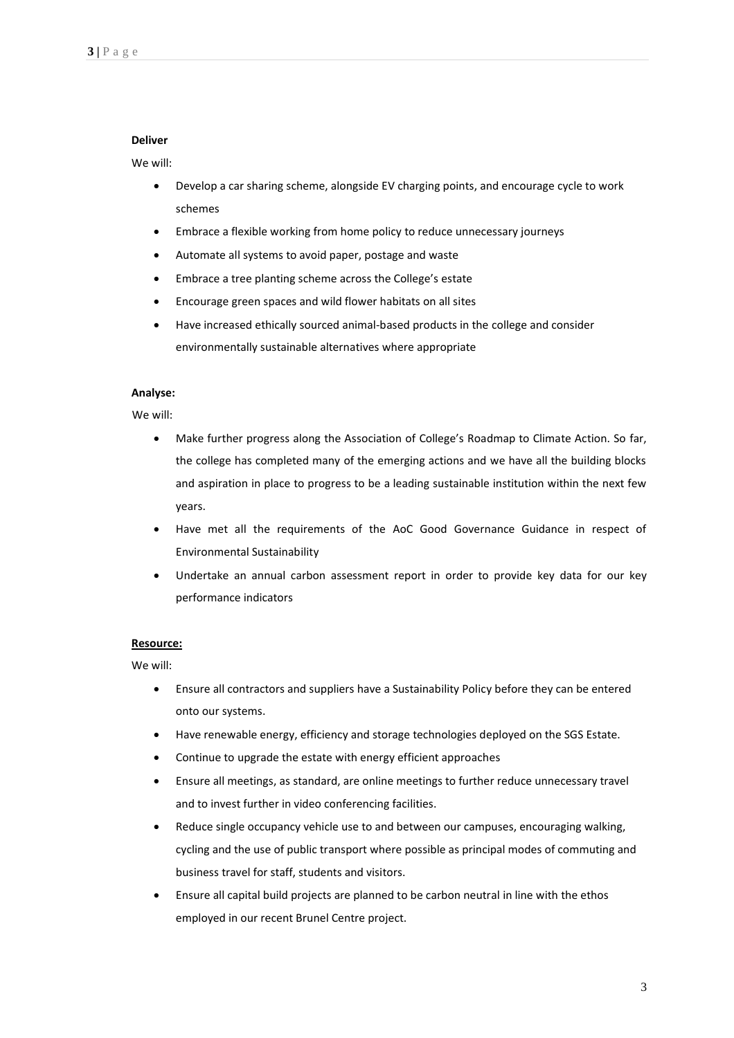#### **Deliver**

#### We will:

- Develop a car sharing scheme, alongside EV charging points, and encourage cycle to work schemes
- Embrace a flexible working from home policy to reduce unnecessary journeys
- Automate all systems to avoid paper, postage and waste
- Embrace a tree planting scheme across the College's estate
- Encourage green spaces and wild flower habitats on all sites
- Have increased ethically sourced animal-based products in the college and consider environmentally sustainable alternatives where appropriate

#### **Analyse:**

#### We will:

- Make further progress along the Association of College's Roadmap to Climate Action. So far, the college has completed many of the emerging actions and we have all the building blocks and aspiration in place to progress to be a leading sustainable institution within the next few years.
- Have met all the requirements of the AoC Good Governance Guidance in respect of Environmental Sustainability
- Undertake an annual carbon assessment report in order to provide key data for our key performance indicators

#### **Resource:**

We will:

- Ensure all contractors and suppliers have a Sustainability Policy before they can be entered onto our systems.
- Have renewable energy, efficiency and storage technologies deployed on the SGS Estate.
- Continue to upgrade the estate with energy efficient approaches
- Ensure all meetings, as standard, are online meetings to further reduce unnecessary travel and to invest further in video conferencing facilities.
- Reduce single occupancy vehicle use to and between our campuses, encouraging walking, cycling and the use of public transport where possible as principal modes of commuting and business travel for staff, students and visitors.
- Ensure all capital build projects are planned to be carbon neutral in line with the ethos employed in our recent Brunel Centre project.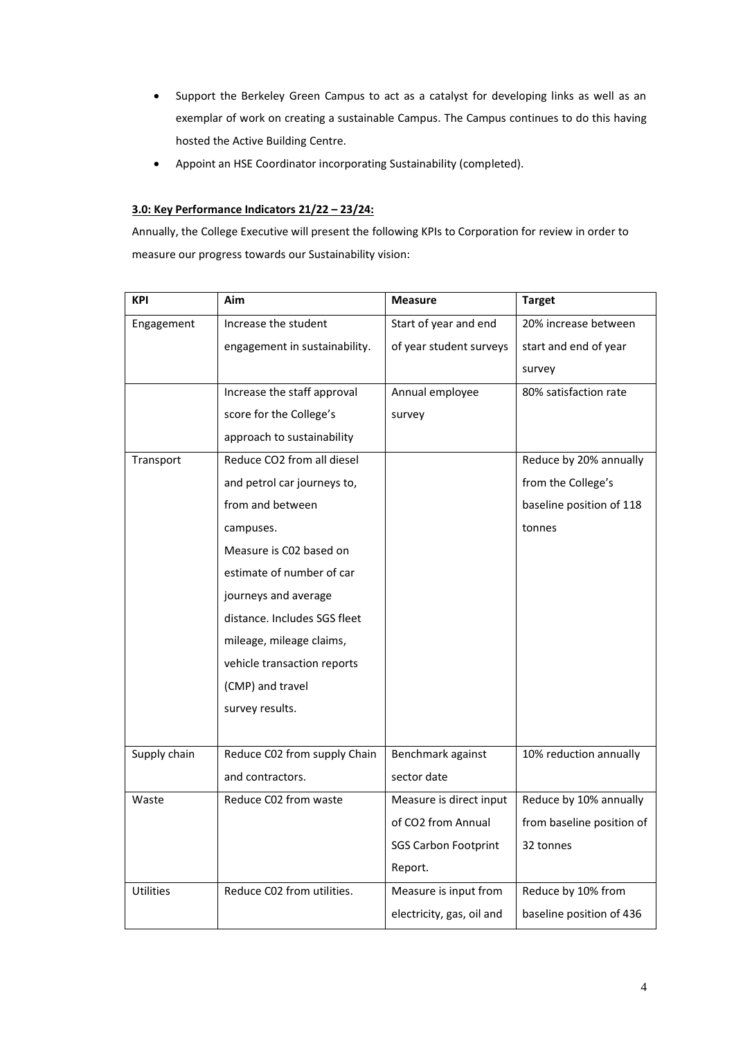- Support the Berkeley Green Campus to act as a catalyst for developing links as well as an exemplar of work on creating a sustainable Campus. The Campus continues to do this having hosted the Active Building Centre.
- Appoint an HSE Coordinator incorporating Sustainability (completed).

## **3.0: Key Performance Indicators 21/22 – 23/24:**

Annually, the College Executive will present the following KPIs to Corporation for review in order to measure our progress towards our Sustainability vision:

| <b>KPI</b>       | Aim                           | <b>Measure</b>              | <b>Target</b>             |
|------------------|-------------------------------|-----------------------------|---------------------------|
| Engagement       | Increase the student          | Start of year and end       | 20% increase between      |
|                  | engagement in sustainability. | of year student surveys     | start and end of year     |
|                  |                               |                             | survey                    |
|                  | Increase the staff approval   | Annual employee             | 80% satisfaction rate     |
|                  | score for the College's       | survey                      |                           |
|                  | approach to sustainability    |                             |                           |
| Transport        | Reduce CO2 from all diesel    |                             | Reduce by 20% annually    |
|                  | and petrol car journeys to,   |                             | from the College's        |
|                  | from and between              |                             | baseline position of 118  |
|                  | campuses.                     |                             | tonnes                    |
|                  | Measure is C02 based on       |                             |                           |
|                  | estimate of number of car     |                             |                           |
|                  | journeys and average          |                             |                           |
|                  | distance. Includes SGS fleet  |                             |                           |
|                  | mileage, mileage claims,      |                             |                           |
|                  | vehicle transaction reports   |                             |                           |
|                  | (CMP) and travel              |                             |                           |
|                  | survey results.               |                             |                           |
|                  |                               |                             |                           |
| Supply chain     | Reduce C02 from supply Chain  | Benchmark against           | 10% reduction annually    |
|                  | and contractors.              | sector date                 |                           |
| Waste            | Reduce C02 from waste         | Measure is direct input     | Reduce by 10% annually    |
|                  |                               | of CO2 from Annual          | from baseline position of |
|                  |                               | <b>SGS Carbon Footprint</b> | 32 tonnes                 |
|                  |                               | Report.                     |                           |
| <b>Utilities</b> | Reduce C02 from utilities.    | Measure is input from       | Reduce by 10% from        |
|                  |                               | electricity, gas, oil and   | baseline position of 436  |